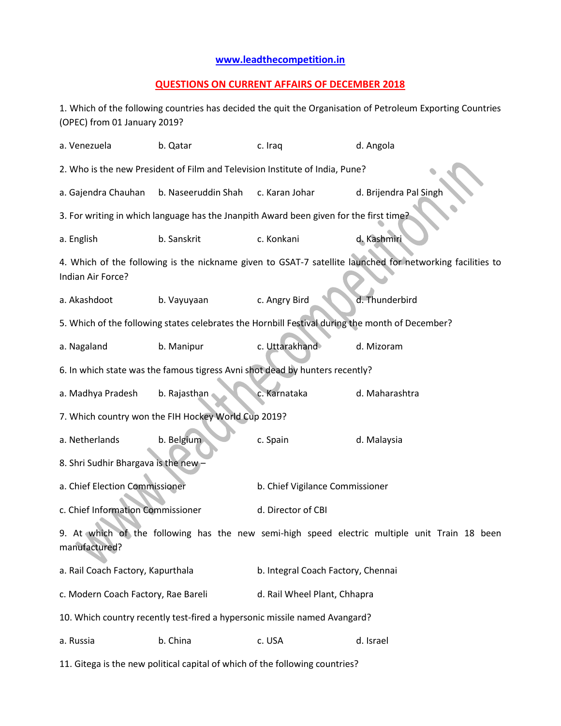## **[www.leadthecompetition.in](http://www.leadthecompetition.in/)**

## **QUESTIONS ON CURRENT AFFAIRS OF DECEMBER 2018**

1. Which of the following countries has decided the quit the Organisation of Petroleum Exporting Countries (OPEC) from 01 January 2019?

| a. Venezuela                                                                                                                   | b. Qatar            | c. Iraq                                                                                | d. Angola              |  |  |
|--------------------------------------------------------------------------------------------------------------------------------|---------------------|----------------------------------------------------------------------------------------|------------------------|--|--|
|                                                                                                                                |                     | 2. Who is the new President of Film and Television Institute of India, Pune?           |                        |  |  |
| a. Gajendra Chauhan                                                                                                            | b. Naseeruddin Shah | c. Karan Johar                                                                         | d. Brijendra Pal Singh |  |  |
|                                                                                                                                |                     | 3. For writing in which language has the Jnanpith Award been given for the first time? |                        |  |  |
| a. English                                                                                                                     | b. Sanskrit         | c. Konkani<br>d. Kashmiri                                                              |                        |  |  |
| 4. Which of the following is the nickname given to GSAT-7 satellite launched for networking facilities to<br>Indian Air Force? |                     |                                                                                        |                        |  |  |
| a. Akashdoot                                                                                                                   | b. Vayuyaan         | c. Angry Bird                                                                          | d. Thunderbird         |  |  |
| 5. Which of the following states celebrates the Hornbill Festival during the month of December?                                |                     |                                                                                        |                        |  |  |
| a. Nagaland                                                                                                                    | b. Manipur          | c. Uttarakhand                                                                         | d. Mizoram             |  |  |
| 6. In which state was the famous tigress Avni shot dead by hunters recently?                                                   |                     |                                                                                        |                        |  |  |
| a. Madhya Pradesh                                                                                                              | b. Rajasthan        | c. Karnataka                                                                           | d. Maharashtra         |  |  |
| 7. Which country won the FIH Hockey World Cup 2019?                                                                            |                     |                                                                                        |                        |  |  |
| a. Netherlands                                                                                                                 | b. Belgium          | c. Spain                                                                               | d. Malaysia            |  |  |
| 8. Shri Sudhir Bhargava is the new-                                                                                            |                     |                                                                                        |                        |  |  |
| a. Chief Election Commissioner                                                                                                 |                     | b. Chief Vigilance Commissioner                                                        |                        |  |  |
| c. Chief Information Commissioner                                                                                              |                     | d. Director of CBI                                                                     |                        |  |  |
| 9. At which of the following has the new semi-high speed electric multiple unit Train 18 been<br>manufactured?                 |                     |                                                                                        |                        |  |  |
| a. Rail Coach Factory, Kapurthala                                                                                              |                     | b. Integral Coach Factory, Chennai                                                     |                        |  |  |
| c. Modern Coach Factory, Rae Bareli                                                                                            |                     | d. Rail Wheel Plant, Chhapra                                                           |                        |  |  |
|                                                                                                                                |                     | 10. Which country recently test-fired a hypersonic missile named Avangard?             |                        |  |  |
| a. Russia                                                                                                                      | b. China            | c. USA                                                                                 | d. Israel              |  |  |
|                                                                                                                                |                     |                                                                                        |                        |  |  |

11. Gitega is the new political capital of which of the following countries?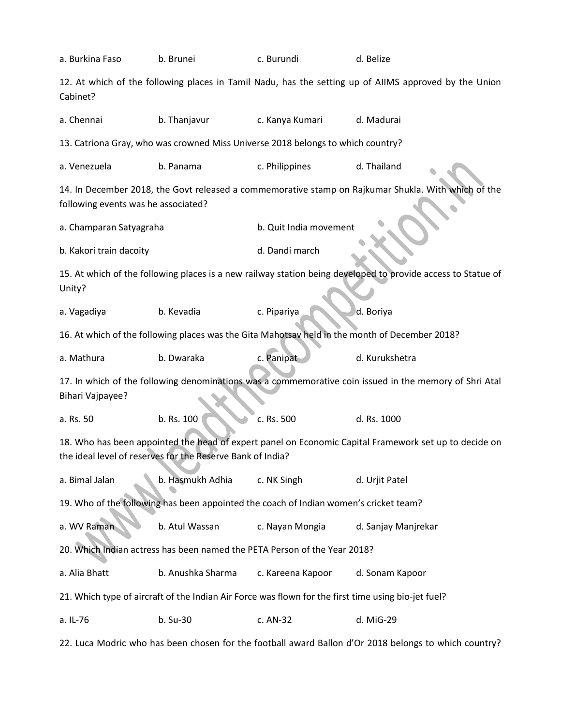| a. Burkina Faso                                                                                                                                                     | b. Brunei                                                                                             | c. Burundi             | d. Belize                                                                                                    |  |  |  |
|---------------------------------------------------------------------------------------------------------------------------------------------------------------------|-------------------------------------------------------------------------------------------------------|------------------------|--------------------------------------------------------------------------------------------------------------|--|--|--|
| 12. At which of the following places in Tamil Nadu, has the setting up of AIIMS approved by the Union<br>Cabinet?                                                   |                                                                                                       |                        |                                                                                                              |  |  |  |
| a. Chennai                                                                                                                                                          | b. Thanjavur                                                                                          | c. Kanya Kumari        | d. Madurai                                                                                                   |  |  |  |
|                                                                                                                                                                     | 13. Catriona Gray, who was crowned Miss Universe 2018 belongs to which country?                       |                        |                                                                                                              |  |  |  |
| a. Venezuela                                                                                                                                                        | b. Panama                                                                                             | c. Philippines         | d. Thailand                                                                                                  |  |  |  |
| following events was he associated?                                                                                                                                 |                                                                                                       |                        | 14. In December 2018, the Govt released a commemorative stamp on Rajkumar Shukla. With which of the          |  |  |  |
| a. Champaran Satyagraha                                                                                                                                             |                                                                                                       | b. Quit India movement |                                                                                                              |  |  |  |
| b. Kakori train dacoity                                                                                                                                             |                                                                                                       | d. Dandi march         |                                                                                                              |  |  |  |
| Unity?                                                                                                                                                              |                                                                                                       |                        | 15. At which of the following places is a new railway station being developed to provide access to Statue of |  |  |  |
| a. Vagadiya                                                                                                                                                         | b. Kevadia                                                                                            | c. Pipariya            | d. Boriya                                                                                                    |  |  |  |
| 16. At which of the following places was the Gita Mahotsav held in the month of December 2018?                                                                      |                                                                                                       |                        |                                                                                                              |  |  |  |
| a. Mathura                                                                                                                                                          | b. Dwaraka                                                                                            | c. Panipat             | d. Kurukshetra                                                                                               |  |  |  |
| 17. In which of the following denominations was a commemorative coin issued in the memory of Shri Atal<br><b>Bihari Vajpayee?</b>                                   |                                                                                                       |                        |                                                                                                              |  |  |  |
| a. Rs. 50                                                                                                                                                           | b. Rs. 100                                                                                            | c. Rs. 500             | d. Rs. 1000                                                                                                  |  |  |  |
| 18. Who has been appointed the head of expert panel on Economic Capital Framework set up to decide on<br>the ideal level of reserves for the Reserve Bank of India? |                                                                                                       |                        |                                                                                                              |  |  |  |
| a. Bimal Jalan                                                                                                                                                      | b. Hasmukh Adhia                                                                                      | c. NK Singh            | d. Urjit Patel                                                                                               |  |  |  |
| 19. Who of the following has been appointed the coach of Indian women's cricket team?                                                                               |                                                                                                       |                        |                                                                                                              |  |  |  |
| b. Atul Wassan<br>a. WV Raman                                                                                                                                       |                                                                                                       | c. Nayan Mongia        | d. Sanjay Manjrekar                                                                                          |  |  |  |
| 20. Which Indian actress has been named the PETA Person of the Year 2018?                                                                                           |                                                                                                       |                        |                                                                                                              |  |  |  |
| a. Alia Bhatt                                                                                                                                                       | b. Anushka Sharma                                                                                     | c. Kareena Kapoor      | d. Sonam Kapoor                                                                                              |  |  |  |
|                                                                                                                                                                     | 21. Which type of aircraft of the Indian Air Force was flown for the first time using bio-jet fuel?   |                        |                                                                                                              |  |  |  |
| a. IL-76                                                                                                                                                            | b. Su-30                                                                                              | c. AN-32               | d. MiG-29                                                                                                    |  |  |  |
|                                                                                                                                                                     | 22. Luca Modric who has been chosen for the football award Ballon d'Or 2018 belongs to which country? |                        |                                                                                                              |  |  |  |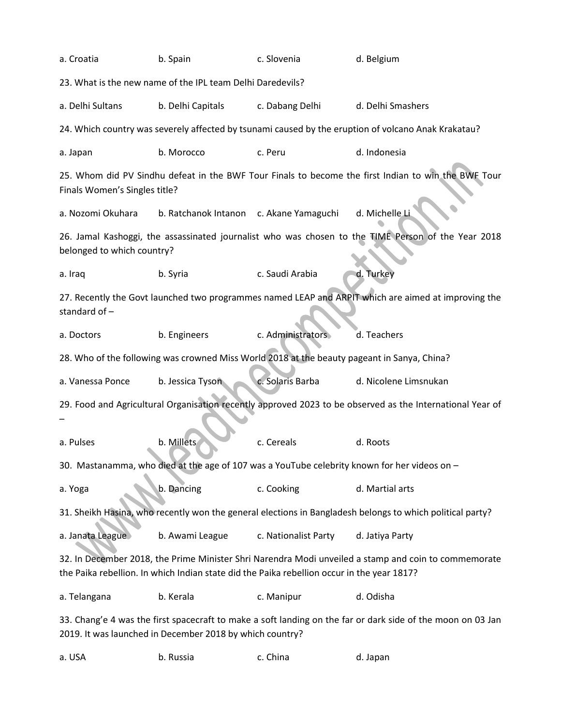| a. Croatia                                                                                                                                                                                         | b. Spain                                | c. Slovenia          | d. Belgium                                                                                          |  |  |  |  |
|----------------------------------------------------------------------------------------------------------------------------------------------------------------------------------------------------|-----------------------------------------|----------------------|-----------------------------------------------------------------------------------------------------|--|--|--|--|
| 23. What is the new name of the IPL team Delhi Daredevils?                                                                                                                                         |                                         |                      |                                                                                                     |  |  |  |  |
| a. Delhi Sultans                                                                                                                                                                                   | b. Delhi Capitals                       | c. Dabang Delhi      | d. Delhi Smashers                                                                                   |  |  |  |  |
| 24. Which country was severely affected by tsunami caused by the eruption of volcano Anak Krakatau?                                                                                                |                                         |                      |                                                                                                     |  |  |  |  |
| a. Japan                                                                                                                                                                                           | b. Morocco                              | c. Peru              | d. Indonesia                                                                                        |  |  |  |  |
| Finals Women's Singles title?                                                                                                                                                                      |                                         |                      | 25. Whom did PV Sindhu defeat in the BWF Tour Finals to become the first Indian to win the BWF Tour |  |  |  |  |
| a. Nozomi Okuhara                                                                                                                                                                                  | b. Ratchanok Intanon c. Akane Yamaguchi |                      | d. Michelle L                                                                                       |  |  |  |  |
| belonged to which country?                                                                                                                                                                         |                                         |                      | 26. Jamal Kashoggi, the assassinated journalist who was chosen to the TIME Person of the Year 2018  |  |  |  |  |
| a. Iraq                                                                                                                                                                                            | b. Syria                                | c. Saudi Arabia      | d. Turkey                                                                                           |  |  |  |  |
| 27. Recently the Govt launched two programmes named LEAP and ARPIT which are aimed at improving the<br>standard of -                                                                               |                                         |                      |                                                                                                     |  |  |  |  |
| a. Doctors                                                                                                                                                                                         | b. Engineers                            | c. Administrators    | d. Teachers                                                                                         |  |  |  |  |
| 28. Who of the following was crowned Miss World 2018 at the beauty pageant in Sanya, China?                                                                                                        |                                         |                      |                                                                                                     |  |  |  |  |
| c. Solaris Barba<br>d. Nicolene Limsnukan<br>a. Vanessa Ponce<br>b. Jessica Tyson                                                                                                                  |                                         |                      |                                                                                                     |  |  |  |  |
| 29. Food and Agricultural Organisation recently approved 2023 to be observed as the International Year of                                                                                          |                                         |                      |                                                                                                     |  |  |  |  |
|                                                                                                                                                                                                    |                                         |                      |                                                                                                     |  |  |  |  |
| a. Pulses                                                                                                                                                                                          | b. Millets                              | c. Cereals           | d. Roots                                                                                            |  |  |  |  |
| 30. Mastanamma, who died at the age of 107 was a YouTube celebrity known for her videos on -                                                                                                       |                                         |                      |                                                                                                     |  |  |  |  |
| a. Yoga                                                                                                                                                                                            | b. Dancing                              |                      | d. Martial arts                                                                                     |  |  |  |  |
| 31. Sheikh Hasina, who recently won the general elections in Bangladesh belongs to which political party?                                                                                          |                                         |                      |                                                                                                     |  |  |  |  |
| a. Janata League                                                                                                                                                                                   | b. Awami League                         | c. Nationalist Party | d. Jatiya Party                                                                                     |  |  |  |  |
| 32. In December 2018, the Prime Minister Shri Narendra Modi unveiled a stamp and coin to commemorate<br>the Paika rebellion. In which Indian state did the Paika rebellion occur in the year 1817? |                                         |                      |                                                                                                     |  |  |  |  |
|                                                                                                                                                                                                    |                                         |                      |                                                                                                     |  |  |  |  |
| a. Telangana                                                                                                                                                                                       | b. Kerala                               | c. Manipur           | d. Odisha                                                                                           |  |  |  |  |

a. USA b. Russia c. China d. Japan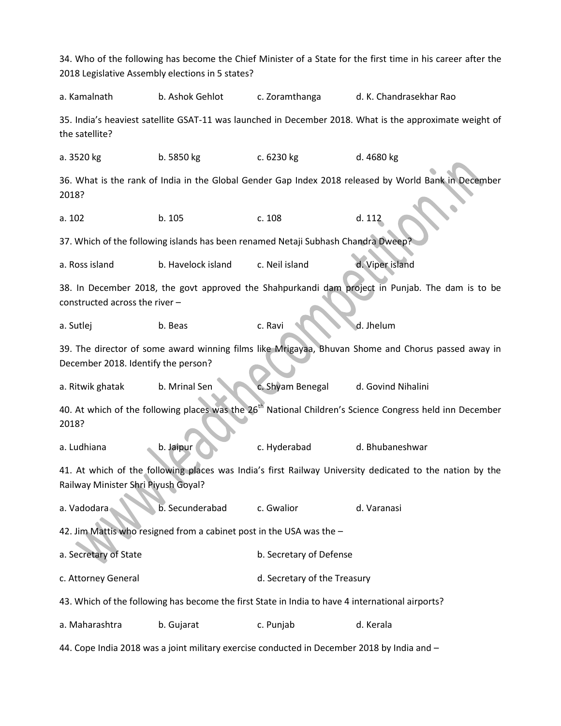34. Who of the following has become the Chief Minister of a State for the first time in his career after the 2018 Legislative Assembly elections in 5 states? a. Kamalnath b. Ashok Gehlot c. Zoramthanga d. K. Chandrasekhar Rao 35. India's heaviest satellite GSAT-11 was launched in December 2018. What is the approximate weight of the satellite? a. 3520 kg b. 5850 kg c. 6230 kg d. 4680 kg 36. What is the rank of India in the Global Gender Gap Index 2018 released by World Bank in December 2018? a. 102 b. 105 c. 108 d. 112 37. Which of the following islands has been renamed Netaji Subhash Chandra Dweep a. Ross island b. Havelock island c. Neil island d. Viper island 38. In December 2018, the govt approved the Shahpurkandi dam project in Punjab. The dam is to be constructed across the river – a. Sutlej b. Beas c. Ravi d. Jhelum 39. The director of some award winning films like Mrigayaa, Bhuvan Shome and Chorus passed away in December 2018. Identify the person? a. Ritwik ghatak b. Mrinal Sen c. Shyam Benegal d. Govind Nihalini 40. At which of the following places was the 26<sup>th</sup> National Children's Science Congress held inn December 2018? a. Ludhiana b. Jaipur c. Hyderabad d. Bhubaneshwar 41. At which of the following places was India's first Railway University dedicated to the nation by the Railway Minister Shri Piyush Goyal? a. Vadodara b. Secunderabad c. Gwalior d. Varanasi 42. Jim Mattis who resigned from a cabinet post in the USA was the – a. Secretary of State b. Secretary of Defense c. Attorney General and the Treasury of the Treasury 43. Which of the following has become the first State in India to have 4 international airports? a. Maharashtra b. Gujarat c. Punjab d. Kerala 44. Cope India 2018 was a joint military exercise conducted in December 2018 by India and –